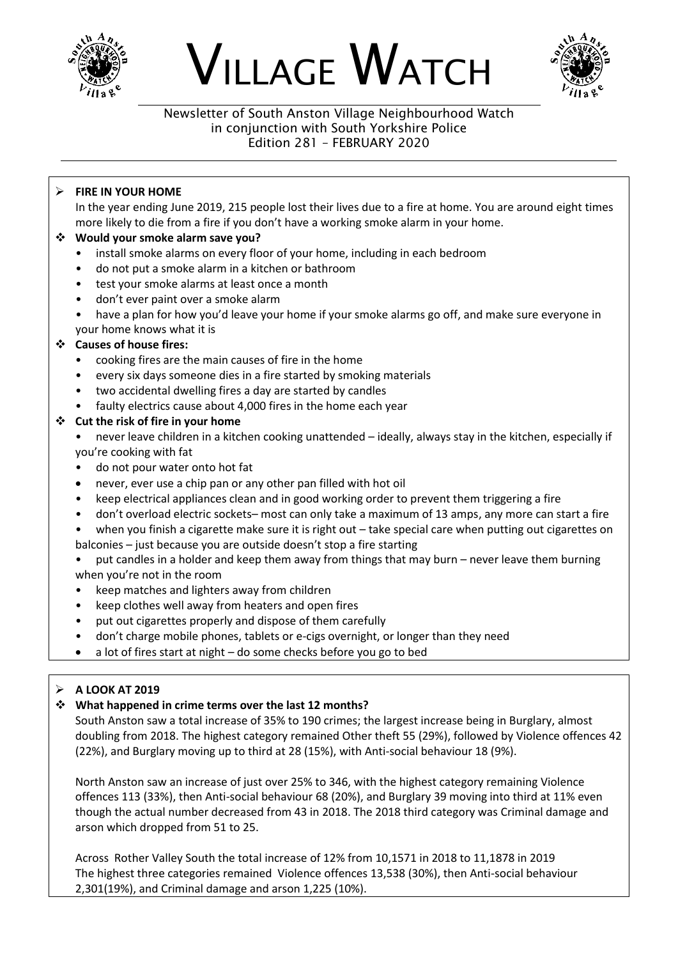

# VILLAGE WATCH



#### Newsletter of South Anston Village Neighbourhood Watch in conjunction with South Yorkshire Police Edition 281 – FEBRUARY 2020

# ➢ **FIRE IN YOUR HOME**

In the year ending June 2019, 215 people lost their lives due to a fire at home. You are around eight times more likely to die from a fire if you don't have a working smoke alarm in your home.

#### ❖ **Would your smoke alarm save you?**

- install smoke alarms on every floor of your home, including in each bedroom
- do not put a smoke alarm in a kitchen or bathroom
- test your smoke alarms at least once a month
- don't ever paint over a smoke alarm
- have a plan for how you'd leave your home if your smoke alarms go off, and make sure everyone in your home knows what it is

# ❖ **Causes of house fires:**

- cooking fires are the main causes of fire in the home
- every six days someone dies in a fire started by smoking materials
- two accidental dwelling fires a day are started by candles
- faulty electrics cause about 4,000 fires in the home each year

#### ❖ **Cut the risk of fire in your home**

• never leave children in a kitchen cooking unattended – ideally, always stay in the kitchen, especially if you're cooking with fat

- do not pour water onto hot fat
- never, ever use a chip pan or any other pan filled with hot oil
- keep electrical appliances clean and in good working order to prevent them triggering a fire
- don't overload electric sockets– most can only take a maximum of 13 amps, any more can start a fire
- when you finish a cigarette make sure it is right out take special care when putting out cigarettes on balconies – just because you are outside doesn't stop a fire starting

• put candles in a holder and keep them away from things that may burn – never leave them burning when you're not in the room

- keep matches and lighters away from children
- keep clothes well away from heaters and open fires
- put out cigarettes properly and dispose of them carefully
- don't charge mobile phones, tablets or e-cigs overnight, or longer than they need
- a lot of fires start at night do some checks before you go to bed

#### ➢ **A LOOK AT 2019**

#### ❖ **What happened in crime terms over the last 12 months?**

South Anston saw a total increase of 35% to 190 crimes; the largest increase being in Burglary, almost doubling from 2018. The highest category remained Other theft 55 (29%), followed by Violence offences 42 (22%), and Burglary moving up to third at 28 (15%), with Anti-social behaviour 18 (9%).

North Anston saw an increase of just over 25% to 346, with the highest category remaining Violence offences 113 (33%), then Anti-social behaviour 68 (20%), and Burglary 39 moving into third at 11% even though the actual number decreased from 43 in 2018. The 2018 third category was Criminal damage and arson which dropped from 51 to 25.

Across Rother Valley South the total increase of 12% from 10,1571 in 2018 to 11,1878 in 2019 The highest three categories remained Violence offences 13,538 (30%), then Anti-social behaviour 2,301(19%), and Criminal damage and arson 1,225 (10%).